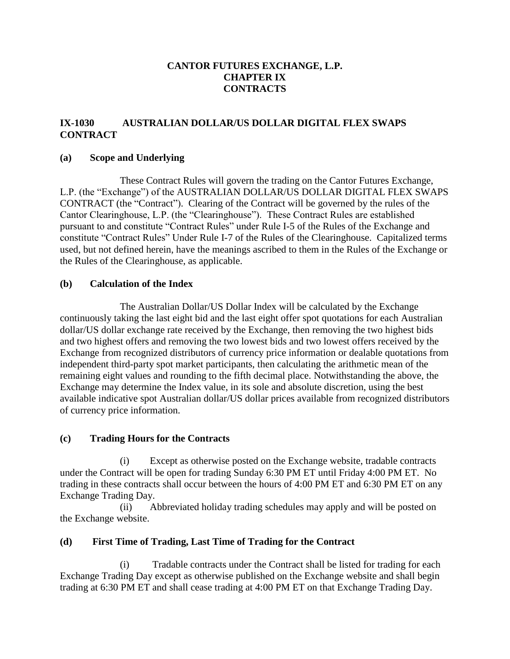# **CANTOR FUTURES EXCHANGE, L.P. CHAPTER IX CONTRACTS**

# **IX-1030 AUSTRALIAN DOLLAR/US DOLLAR DIGITAL FLEX SWAPS CONTRACT**

#### **(a) Scope and Underlying**

These Contract Rules will govern the trading on the Cantor Futures Exchange, L.P. (the "Exchange") of the AUSTRALIAN DOLLAR/US DOLLAR DIGITAL FLEX SWAPS CONTRACT (the "Contract"). Clearing of the Contract will be governed by the rules of the Cantor Clearinghouse, L.P. (the "Clearinghouse"). These Contract Rules are established pursuant to and constitute "Contract Rules" under Rule I-5 of the Rules of the Exchange and constitute "Contract Rules" Under Rule I-7 of the Rules of the Clearinghouse. Capitalized terms used, but not defined herein, have the meanings ascribed to them in the Rules of the Exchange or the Rules of the Clearinghouse, as applicable.

#### **(b) Calculation of the Index**

The Australian Dollar/US Dollar Index will be calculated by the Exchange continuously taking the last eight bid and the last eight offer spot quotations for each Australian dollar/US dollar exchange rate received by the Exchange, then removing the two highest bids and two highest offers and removing the two lowest bids and two lowest offers received by the Exchange from recognized distributors of currency price information or dealable quotations from independent third-party spot market participants, then calculating the arithmetic mean of the remaining eight values and rounding to the fifth decimal place. Notwithstanding the above, the Exchange may determine the Index value, in its sole and absolute discretion, using the best available indicative spot Australian dollar/US dollar prices available from recognized distributors of currency price information.

### **(c) Trading Hours for the Contracts**

(i) Except as otherwise posted on the Exchange website, tradable contracts under the Contract will be open for trading Sunday 6:30 PM ET until Friday 4:00 PM ET. No trading in these contracts shall occur between the hours of 4:00 PM ET and 6:30 PM ET on any Exchange Trading Day.

(ii) Abbreviated holiday trading schedules may apply and will be posted on the Exchange website.

### **(d) First Time of Trading, Last Time of Trading for the Contract**

(i) Tradable contracts under the Contract shall be listed for trading for each Exchange Trading Day except as otherwise published on the Exchange website and shall begin trading at 6:30 PM ET and shall cease trading at 4:00 PM ET on that Exchange Trading Day.